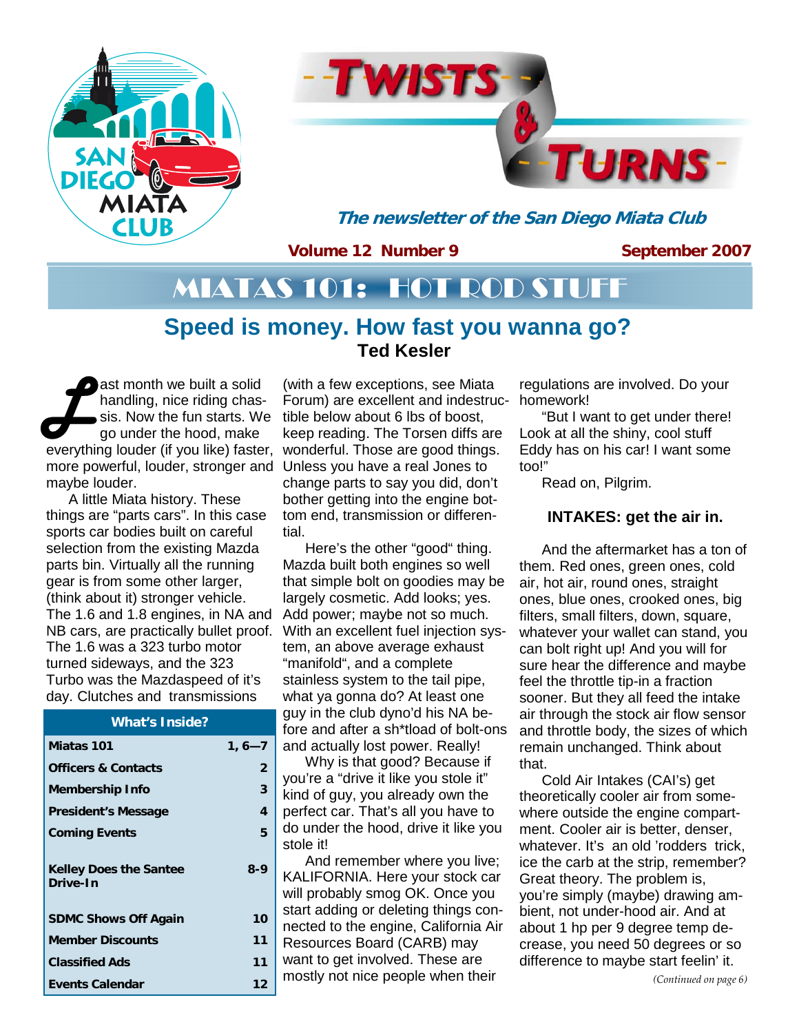



**The newsletter of the San Diego Miata Club** 

**Volume 12 Number 9** 

**September 2007** 

# MIATAS 101: HOT ROD STUFF

# **Speed is money. How fast you wanna go? Ted Kesler**

ast month we built a solid<br>handling, nice riding chas-<br>sis. Now the fun starts. We<br>as under the bood make handling, nice riding chassis. Now the fun starts. We go under the hood, make everything louder (if you like) faster, more powerful, louder, stronger and Unless you have a real Jones to maybe louder.

 A little Miata history. These things are "parts cars". In this case sports car bodies built on careful selection from the existing Mazda parts bin. Virtually all the running gear is from some other larger, (think about it) stronger vehicle. The 1.6 and 1.8 engines, in NA and NB cars, are practically bullet proof. The 1.6 was a 323 turbo motor turned sideways, and the 323 Turbo was the Mazdaspeed of it's day. Clutches and transmissions

| <b>What's Inside?</b>                     |        |  |  |  |  |  |  |
|-------------------------------------------|--------|--|--|--|--|--|--|
| Miatas 101                                | 1, 6—7 |  |  |  |  |  |  |
| <b>Officers &amp; Contacts</b>            | 2      |  |  |  |  |  |  |
| <b>Membership Info</b>                    | 3      |  |  |  |  |  |  |
| <b>President's Message</b>                | 4      |  |  |  |  |  |  |
| <b>Coming Events</b>                      | 5      |  |  |  |  |  |  |
| <b>Kelley Does the Santee</b><br>Drive-In | 8-9    |  |  |  |  |  |  |
| <b>SDMC Shows Off Again</b>               | 10     |  |  |  |  |  |  |
| <b>Member Discounts</b>                   | 11     |  |  |  |  |  |  |
| <b>Classified Ads</b>                     | 11     |  |  |  |  |  |  |
| <b>Events Calendar</b>                    | 12     |  |  |  |  |  |  |

(with a few exceptions, see Miata Forum) are excellent and indestructible below about 6 lbs of boost, keep reading. The Torsen diffs are wonderful. Those are good things. change parts to say you did, don't bother getting into the engine bottom end, transmission or differential.

 Here's the other "good" thing. Mazda built both engines so well that simple bolt on goodies may be largely cosmetic. Add looks; yes. Add power; maybe not so much. With an excellent fuel injection system, an above average exhaust "manifold", and a complete stainless system to the tail pipe, what ya gonna do? At least one guy in the club dyno'd his NA before and after a sh\*tload of bolt-ons and actually lost power. Really!

 Why is that good? Because if you're a "drive it like you stole it" kind of guy, you already own the perfect car. That's all you have to do under the hood, drive it like you stole it!

 And remember where you live; KALIFORNIA. Here your stock car will probably smog OK. Once you start adding or deleting things connected to the engine, California Air Resources Board (CARB) may want to get involved. These are mostly not nice people when their

regulations are involved. Do your homework!

 "But I want to get under there! Look at all the shiny, cool stuff Eddy has on his car! I want some too!"

Read on, Pilgrim.

#### **INTAKES: get the air in.**

 And the aftermarket has a ton of them. Red ones, green ones, cold air, hot air, round ones, straight ones, blue ones, crooked ones, big filters, small filters, down, square, whatever your wallet can stand, you can bolt right up! And you will for sure hear the difference and maybe feel the throttle tip-in a fraction sooner. But they all feed the intake air through the stock air flow sensor and throttle body, the sizes of which remain unchanged. Think about that.

 Cold Air Intakes (CAI's) get theoretically cooler air from somewhere outside the engine compartment. Cooler air is better, denser, whatever. It's an old 'rodders trick, ice the carb at the strip, remember? Great theory. The problem is, you're simply (maybe) drawing ambient, not under-hood air. And at about 1 hp per 9 degree temp decrease, you need 50 degrees or so difference to maybe start feelin' it.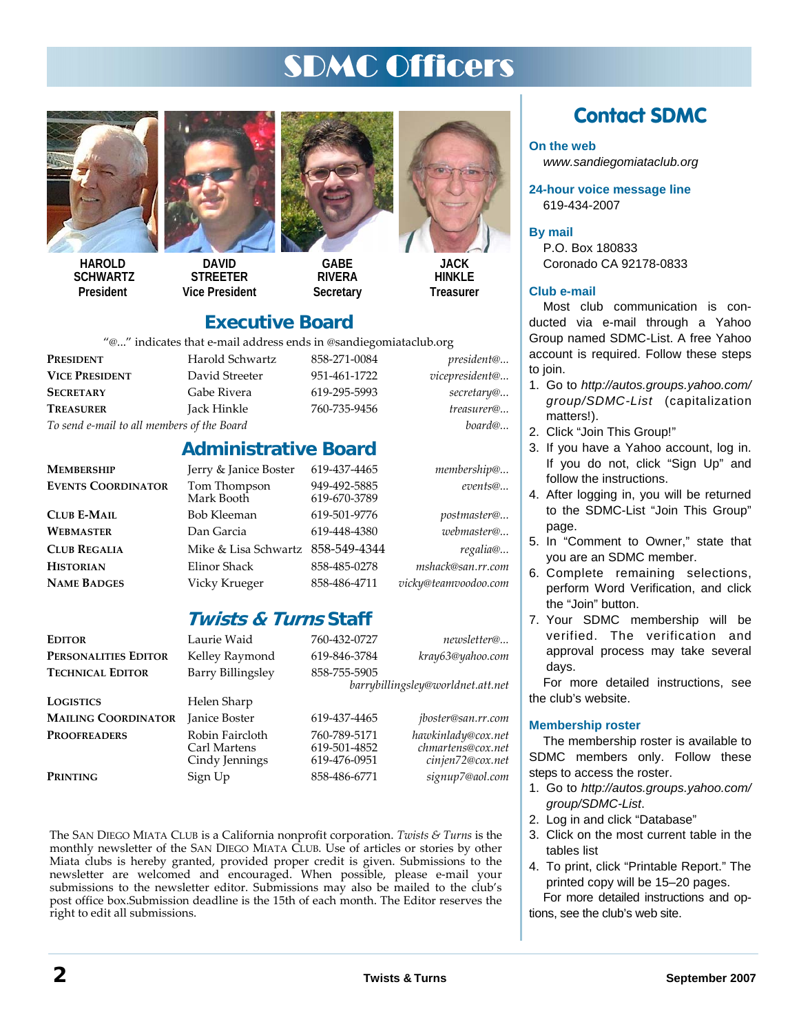# SDMC Officers



**HAROLD SCHWARTZ President** 



**DAVID STREETER Vice President** 



**GABE RIVERA Secretary** 

619-670-3789



**HINKI F Treasurer** 

### **Executive Board**

"@..." indicates that e-mail address ends in @sandiegomiataclub.org

**Administrative Board** 

| Harold Schwartz                         | 858-271-0084 | <i>president</i> @                                             |
|-----------------------------------------|--------------|----------------------------------------------------------------|
| <b>VICE PRESIDENT</b><br>David Streeter | 951-461-1722 | vicepresident@                                                 |
| Gabe Rivera                             | 619-295-5993 | secretary@                                                     |
| Jack Hinkle                             | 760-735-9456 | treasurer@                                                     |
|                                         |              | C Thuicates that e-mail address ends in Csandiegonialaciup.org |

*To send e-mail to all members of the Board board@...*

**MEMBERSHIP** Jerry & Janice Boster 619-437-4465 *membership@...* **EVENTS COORDINATOR** Tom Thompson 949-492-5885 *events@...*<br>Mark Booth 619-670-3789

**CLUB E-MAIL** Bob Kleeman 619-501-9776 *postmaster@...* **WEBMASTER** Dan Garcia 619-448-4380 *webmaster@...*  **CLUB REGALIA** Mike & Lisa Schwartz 858-549-4344 *regalia@...*

**HISTORIAN** Elinor Shack 858-485-0278 *mshack@san.rr.com* **NAME BADGES** Vicky Krueger 858-486-4711 *vicky@teamvoodoo.com*

# **Twists & Turns Staff**

| Editor                     | Laurie Waid                                       | 760-432-0727                                 | newsletter@                                                 |
|----------------------------|---------------------------------------------------|----------------------------------------------|-------------------------------------------------------------|
| PERSONALITIES EDITOR       | Kelley Raymond                                    | 619-846-3784                                 | kray63@yahoo.com                                            |
| <b>TECHNICAL EDITOR</b>    | Barry Billingsley                                 | 858-755-5905                                 |                                                             |
|                            |                                                   |                                              | barrybillingsley@worldnet.att.net                           |
| LOGISTICS                  | Helen Sharp                                       |                                              |                                                             |
| <b>MAILING COORDINATOR</b> | Janice Boster                                     | 619-437-4465                                 | jboster@san.rr.com                                          |
| <b>PROOFREADERS</b>        | Robin Faircloth<br>Carl Martens<br>Cindy Jennings | 760-789-5171<br>619-501-4852<br>619-476-0951 | hawkinlady@cox.net<br>chmartens@cox.net<br>cinjen72@cox.net |
| Printing                   | Sign Up                                           | 858-486-6771                                 | signup7@aol.com                                             |

The SAN DIEGO MIATA CLUB is a California nonprofit corporation. *Twists & Turns* is the monthly newsletter of the SAN DIEGO MIATA CLUB. Use of articles or stories by other Miata clubs is hereby granted, provided proper credit is given. Submissions to the newsletter are welcomed and encouraged. When possible, please e-mail your submissions to the newsletter editor. Submissions may also be mailed to the club's post office box.Submission deadline is the 15th of each month. The Editor reserves the right to edit all submissions.

# **Contact SDMC**

#### **On the web**

*www.sandiegomiataclub.org* 

**24-hour voice message line**  619-434-2007

#### **By mail**

P.O. Box 180833 Coronado CA 92178-0833

#### **Club e-mail**

Most club communication is conducted via e-mail through a Yahoo Group named SDMC-List. A free Yahoo account is required. Follow these steps to join.

- 1. Go to *http://autos.groups.yahoo.com/ group/SDMC-List* (capitalization matters!).
- 2. Click "Join This Group!"
- 3. If you have a Yahoo account, log in. If you do not, click "Sign Up" and follow the instructions.
- 4. After logging in, you will be returned to the SDMC-List "Join This Group" page.
- 5. In "Comment to Owner," state that you are an SDMC member.
- 6. Complete remaining selections, perform Word Verification, and click the "Join" button.
- 7. Your SDMC membership will be verified. The verification and approval process may take several days.

For more detailed instructions, see the club's website.

#### **Membership roster**

The membership roster is available to SDMC members only. Follow these steps to access the roster.

- 1. Go to *http://autos.groups.yahoo.com/ group/SDMC-List*.
- 2. Log in and click "Database"
- 3. Click on the most current table in the tables list
- 4. To print, click "Printable Report." The printed copy will be 15–20 pages. For more detailed instructions and options, see the club's web site.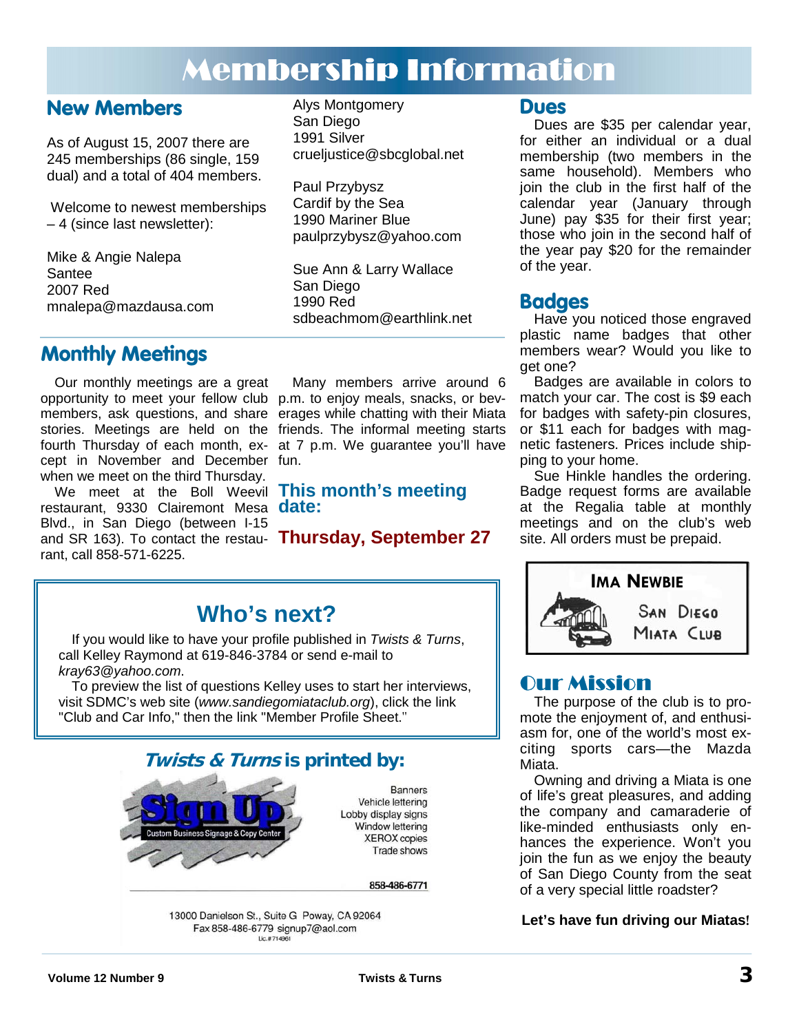# Membership Information

## **New Members**

As of August 15, 2007 there are 245 memberships (86 single, 159 dual) and a total of 404 members.

Welcome to newest memberships – 4 (since last newsletter):

Mike & Angie Nalepa Santee 2007 Red mnalepa@mazdausa.com

# **Monthly Meetings**

Our monthly meetings are a great opportunity to meet your fellow club members, ask questions, and share stories. Meetings are held on the friends. The informal meeting starts fourth Thursday of each month, except in November and December fun. when we meet on the third Thursday.

We meet at the Boll Weevil **This month's meeting**  restaurant, 9330 Clairemont Mesa **date:**  Blvd., in San Diego (between I-15 and SR 163). To contact the restau-**Thursday, September 27**  rant, call 858-571-6225.

Alys Montgomery San Diego 1991 Silver crueljustice@sbcglobal.net

Paul Przybysz Cardif by the Sea 1990 Mariner Blue paulprzybysz@yahoo.com

Sue Ann & Larry Wallace San Diego 1990 Red sdbeachmom@earthlink.net

Many members arrive around 6 p.m. to enjoy meals, snacks, or beverages while chatting with their Miata at 7 p.m. We guarantee you'll have

### **Dues**

Dues are \$35 per calendar year, for either an individual or a dual membership (two members in the same household). Members who join the club in the first half of the calendar year (January through June) pay \$35 for their first year; those who join in the second half of the year pay \$20 for the remainder of the year.

### **Badges**

Have you noticed those engraved plastic name badges that other members wear? Would you like to get one?

Badges are available in colors to match your car. The cost is \$9 each for badges with safety-pin closures, or \$11 each for badges with magnetic fasteners. Prices include shipping to your home.

Sue Hinkle handles the ordering. Badge request forms are available at the Regalia table at monthly meetings and on the club's web site. All orders must be prepaid.



### Our Mission

The purpose of the club is to promote the enjoyment of, and enthusiasm for, one of the world's most exciting sports cars—the Mazda Miata.

Owning and driving a Miata is one of life's great pleasures, and adding the company and camaraderie of like-minded enthusiasts only enhances the experience. Won't you join the fun as we enjoy the beauty of San Diego County from the seat of a very special little roadster?

#### **Let's have fun driving our Miatas!**

# **Who's next?**

If you would like to have your profile published in *Twists & Turns*, call Kelley Raymond at 619-846-3784 or send e-mail to *kray63@yahoo.com*.

To preview the list of questions Kelley uses to start her interviews, visit SDMC's web site (*www.sandiegomiataclub.org*), click the link "Club and Car Info," then the link "Member Profile Sheet."

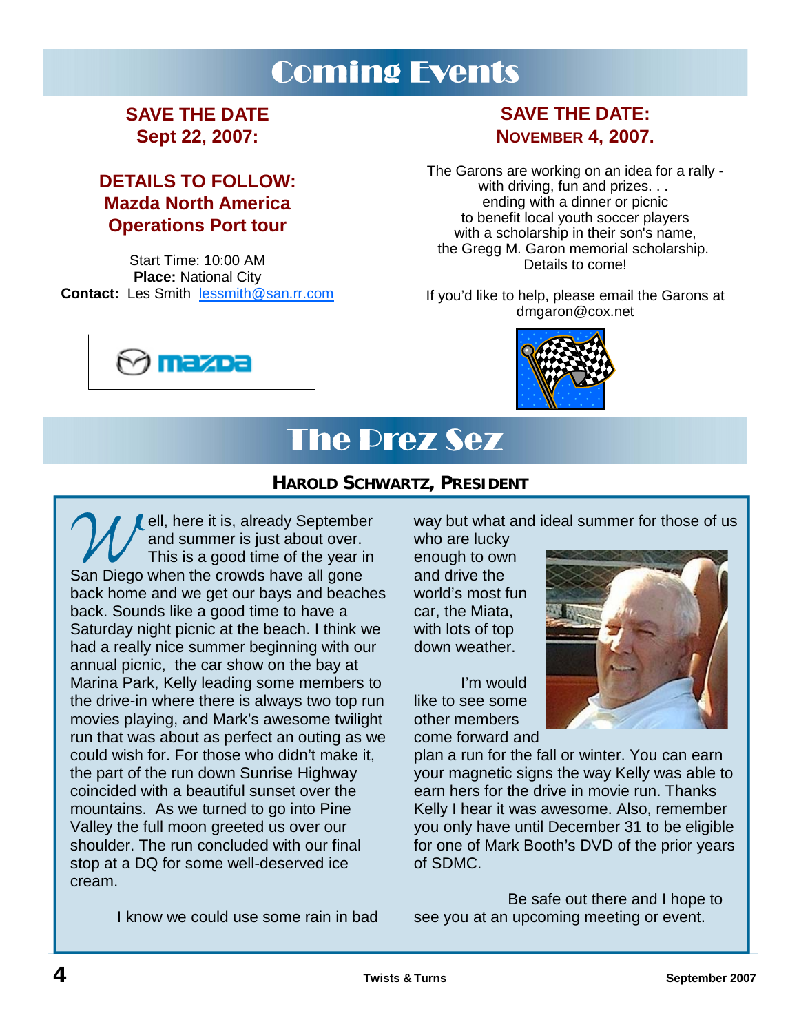# Coming Events

### **SAVE THE DATE Sept 22, 2007:**

## **DETAILS TO FOLLOW: Mazda North America Operations Port tour**

Start Time: 10:00 AM **Place:** National City **Contact:** Les Smith lessmith@san.rr.com



# **SAVE THE DATE: NOVEMBER 4, 2007.**

The Garons are working on an idea for a rally with driving, fun and prizes. . . ending with a dinner or picnic to benefit local youth soccer players with a scholarship in their son's name, the Gregg M. Garon memorial scholarship. Details to come!

If you'd like to help, please email the Garons at dmgaron@cox.net



# The Prez Sez

### **HAROLD SCHWARTZ, PRESIDENT**

**W** ell, here it is, already September<br>
and summer is just about over.<br>
This is a good time of the year in<br>
San Diego when the crowds have all gone and summer is just about over. This is a good time of the year in back home and we get our bays and beaches back. Sounds like a good time to have a Saturday night picnic at the beach. I think we had a really nice summer beginning with our annual picnic, the car show on the bay at Marina Park, Kelly leading some members to the drive-in where there is always two top run movies playing, and Mark's awesome twilight run that was about as perfect an outing as we could wish for. For those who didn't make it, the part of the run down Sunrise Highway coincided with a beautiful sunset over the mountains. As we turned to go into Pine Valley the full moon greeted us over our shoulder. The run concluded with our final stop at a DQ for some well-deserved ice cream.

I know we could use some rain in bad

way but what and ideal summer for those of us

who are lucky enough to own and drive the world's most fun car, the Miata, with lots of top down weather.

I'm would like to see some other members come forward and



plan a run for the fall or winter. You can earn your magnetic signs the way Kelly was able to earn hers for the drive in movie run. Thanks Kelly I hear it was awesome. Also, remember you only have until December 31 to be eligible for one of Mark Booth's DVD of the prior years of SDMC.

 Be safe out there and I hope to see you at an upcoming meeting or event.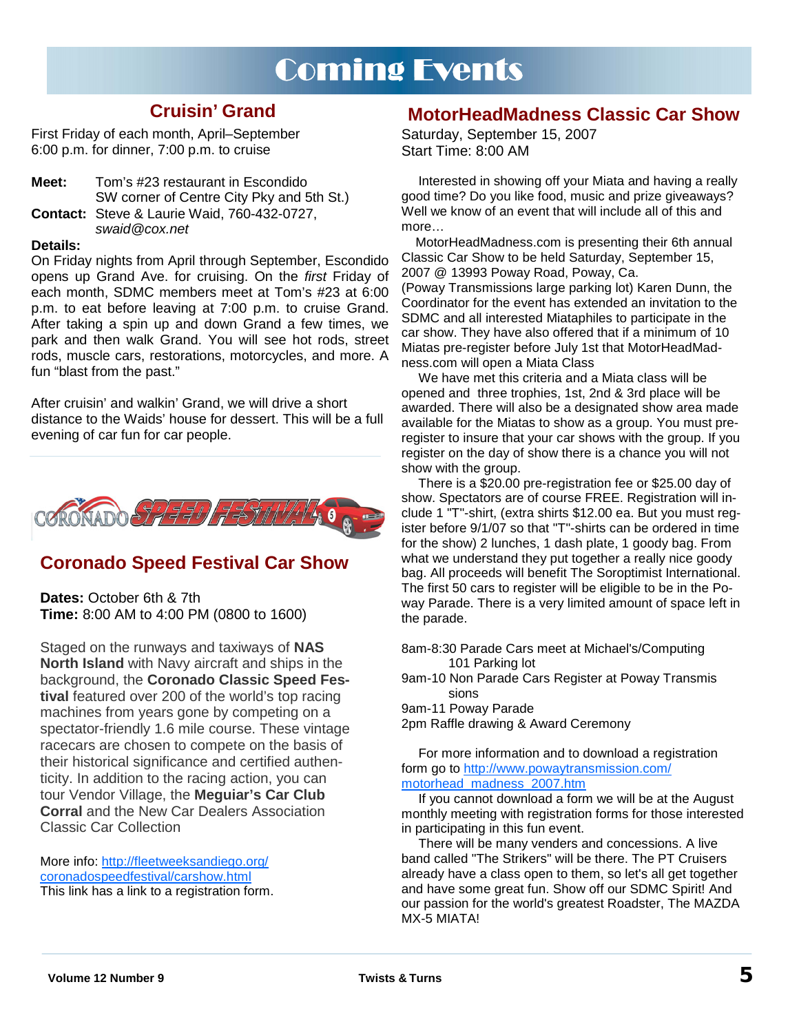### **Cruisin' Grand**

First Friday of each month, April–September 6:00 p.m. for dinner, 7:00 p.m. to cruise

**Meet:** Tom's #23 restaurant in Escondido SW corner of Centre City Pky and 5th St.) **Contact:** Steve & Laurie Waid, 760-432-0727, *swaid@cox.net* 

#### **Details:**

On Friday nights from April through September, Escondido opens up Grand Ave. for cruising. On the *first* Friday of each month, SDMC members meet at Tom's #23 at 6:00 p.m. to eat before leaving at 7:00 p.m. to cruise Grand. After taking a spin up and down Grand a few times, we park and then walk Grand. You will see hot rods, street rods, muscle cars, restorations, motorcycles, and more. A fun "blast from the past."

After cruisin' and walkin' Grand, we will drive a short distance to the Waids' house for dessert. This will be a full evening of car fun for car people.



### **Coronado Speed Festival Car Show**

**Dates:** October 6th & 7th **Time:** 8:00 AM to 4:00 PM (0800 to 1600)

Staged on the runways and taxiways of **NAS North Island** with Navy aircraft and ships in the background, the **Coronado Classic Speed Festival** featured over 200 of the world's top racing machines from years gone by competing on a spectator-friendly 1.6 mile course. These vintage racecars are chosen to compete on the basis of their historical significance and certified authenticity. In addition to the racing action, you can tour Vendor Village, the **Meguiar's Car Club Corral** and the New Car Dealers Association Classic Car Collection

More info: http://fleetweeksandiego.org/ coronadospeedfestival/carshow.html This link has a link to a registration form.

#### **MotorHeadMadness Classic Car Show**

Saturday, September 15, 2007 Start Time: 8:00 AM

 Interested in showing off your Miata and having a really good time? Do you like food, music and prize giveaways? Well we know of an event that will include all of this and more…

MotorHeadMadness.com is presenting their 6th annual Classic Car Show to be held Saturday, September 15, 2007 @ 13993 Poway Road, Poway, Ca. (Poway Transmissions large parking lot) Karen Dunn, the Coordinator for the event has extended an invitation to the SDMC and all interested Miataphiles to participate in the car show. They have also offered that if a minimum of 10 Miatas pre-register before July 1st that MotorHeadMadness.com will open a Miata Class

 We have met this criteria and a Miata class will be opened and three trophies, 1st, 2nd & 3rd place will be awarded. There will also be a designated show area made available for the Miatas to show as a group. You must preregister to insure that your car shows with the group. If you register on the day of show there is a chance you will not show with the group.

 There is a \$20.00 pre-registration fee or \$25.00 day of show. Spectators are of course FREE. Registration will include 1 "T"-shirt, (extra shirts \$12.00 ea. But you must register before 9/1/07 so that "T"-shirts can be ordered in time for the show) 2 lunches, 1 dash plate, 1 goody bag. From what we understand they put together a really nice goody bag. All proceeds will benefit The Soroptimist International. The first 50 cars to register will be eligible to be in the Poway Parade. There is a very limited amount of space left in the parade.

8am-8:30 Parade Cars meet at Michael's/Computing 101 Parking lot

9am-10 Non Parade Cars Register at Poway Transmis sions

9am-11 Poway Parade

2pm Raffle drawing & Award Ceremony

 For more information and to download a registration form go to http://www.powaytransmission.com/ motorhead\_madness\_2007.htm

 If you cannot download a form we will be at the August monthly meeting with registration forms for those interested in participating in this fun event.

 There will be many venders and concessions. A live band called "The Strikers" will be there. The PT Cruisers already have a class open to them, so let's all get together and have some great fun. Show off our SDMC Spirit! And our passion for the world's greatest Roadster, The MAZDA MX-5 MIATA!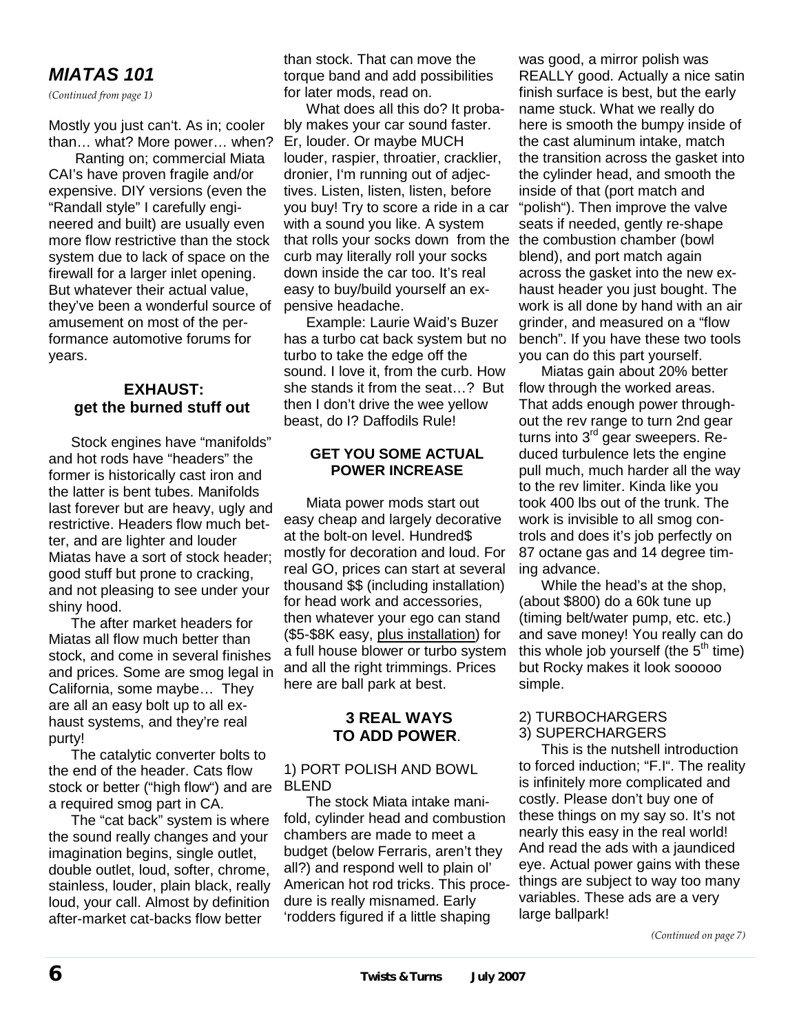### *MIATAS 101*

*(Continued from page 1)* 

Mostly you just can't. As in; cooler than… what? More power… when?

 Ranting on; commercial Miata CAI's have proven fragile and/or expensive. DIY versions (even the "Randall style" I carefully engineered and built) are usually even more flow restrictive than the stock system due to lack of space on the firewall for a larger inlet opening. But whatever their actual value, they've been a wonderful source of amusement on most of the performance automotive forums for years.

#### **EXHAUST: get the burned stuff out**

 Stock engines have "manifolds" and hot rods have "headers" the former is historically cast iron and the latter is bent tubes. Manifolds last forever but are heavy, ugly and restrictive. Headers flow much better, and are lighter and louder Miatas have a sort of stock header; good stuff but prone to cracking, and not pleasing to see under your shiny hood.

 The after market headers for Miatas all flow much better than stock, and come in several finishes and prices. Some are smog legal in California, some maybe… They are all an easy bolt up to all exhaust systems, and they're real purty!

 The catalytic converter bolts to the end of the header. Cats flow stock or better ("high flow") and are a required smog part in CA.

 The "cat back" system is where the sound really changes and your imagination begins, single outlet, double outlet, loud, softer, chrome, stainless, louder, plain black, really loud, your call. Almost by definition after-market cat-backs flow better

than stock. That can move the torque band and add possibilities for later mods, read on.

 What does all this do? It probably makes your car sound faster. Er, louder. Or maybe MUCH louder, raspier, throatier, cracklier, dronier, I'm running out of adjectives. Listen, listen, listen, before you buy! Try to score a ride in a car with a sound you like. A system that rolls your socks down from the curb may literally roll your socks down inside the car too. It's real easy to buy/build yourself an expensive headache.

 Example: Laurie Waid's Buzer has a turbo cat back system but no turbo to take the edge off the sound. I love it, from the curb. How she stands it from the seat…? But then I don't drive the wee yellow beast, do I? Daffodils Rule!

#### **GET YOU SOME ACTUAL POWER INCREASE**

 Miata power mods start out easy cheap and largely decorative at the bolt-on level. Hundred\$ mostly for decoration and loud. For real GO, prices can start at several thousand \$\$ (including installation) for head work and accessories, then whatever your ego can stand (\$5-\$8K easy, plus installation) for a full house blower or turbo system and all the right trimmings. Prices here are ball park at best.

#### **3 REAL WAYS TO ADD POWER**.

#### 1) PORT POLISH AND BOWL BLEND

 The stock Miata intake manifold, cylinder head and combustion chambers are made to meet a budget (below Ferraris, aren't they all?) and respond well to plain ol' American hot rod tricks. This procedure is really misnamed. Early 'rodders figured if a little shaping

was good, a mirror polish was REALLY good. Actually a nice satin finish surface is best, but the early name stuck. What we really do here is smooth the bumpy inside of the cast aluminum intake, match the transition across the gasket into the cylinder head, and smooth the inside of that (port match and "polish"). Then improve the valve seats if needed, gently re-shape the combustion chamber (bowl blend), and port match again across the gasket into the new exhaust header you just bought. The work is all done by hand with an air grinder, and measured on a "flow bench". If you have these two tools you can do this part yourself.

 Miatas gain about 20% better flow through the worked areas. That adds enough power throughout the rev range to turn 2nd gear turns into 3<sup>rd</sup> gear sweepers. Reduced turbulence lets the engine pull much, much harder all the way to the rev limiter. Kinda like you took 400 lbs out of the trunk. The work is invisible to all smog controls and does it's job perfectly on 87 octane gas and 14 degree timing advance.

 While the head's at the shop, (about \$800) do a 60k tune up (timing belt/water pump, etc. etc.) and save money! You really can do this whole job yourself (the  $5<sup>th</sup>$  time) but Rocky makes it look sooooo simple.

#### 2) TURBOCHARGERS 3) SUPERCHARGERS

 This is the nutshell introduction to forced induction; "F.I". The reality is infinitely more complicated and costly. Please don't buy one of these things on my say so. It's not nearly this easy in the real world! And read the ads with a jaundiced eye. Actual power gains with these things are subject to way too many variables. These ads are a very large ballpark!

*(Continued on page 7)*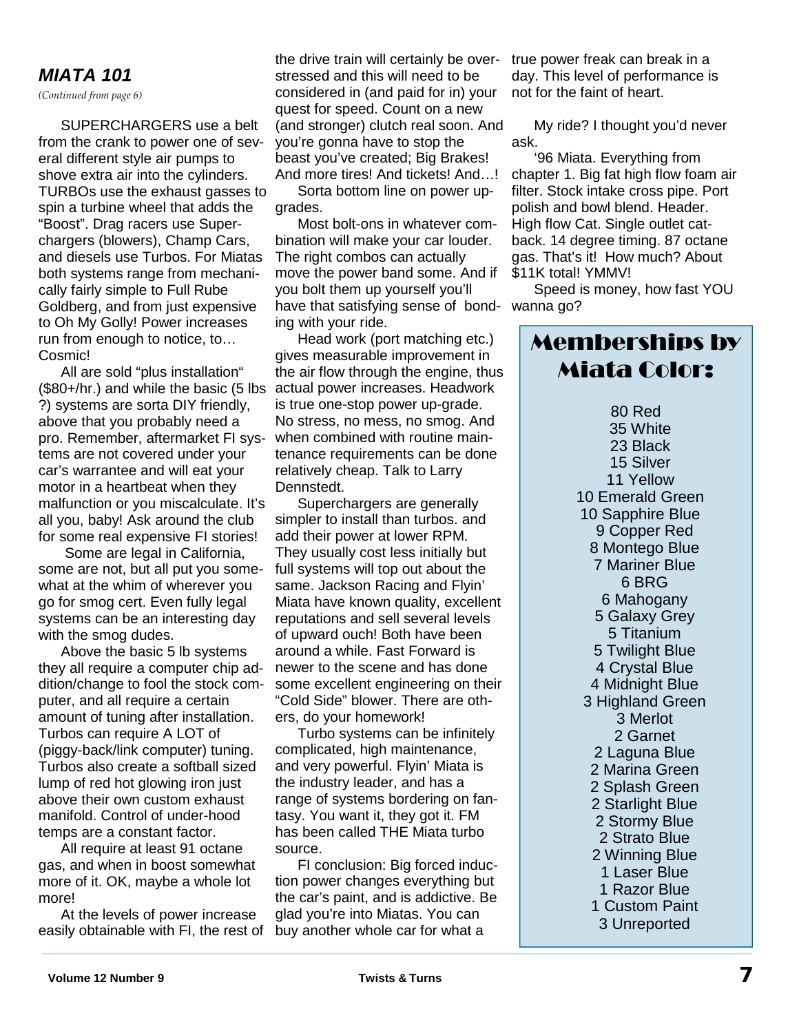### *MIATA 101*

*(Continued from page 6)* 

 SUPERCHARGERS use a belt from the crank to power one of several different style air pumps to shove extra air into the cylinders. TURBOs use the exhaust gasses to spin a turbine wheel that adds the "Boost". Drag racers use Superchargers (blowers), Champ Cars, and diesels use Turbos. For Miatas both systems range from mechanically fairly simple to Full Rube Goldberg, and from just expensive to Oh My Golly! Power increases run from enough to notice, to… Cosmic!

 All are sold "plus installation" (\$80+/hr.) and while the basic (5 lbs ?) systems are sorta DIY friendly, above that you probably need a pro. Remember, aftermarket FI systems are not covered under your car's warrantee and will eat your motor in a heartbeat when they malfunction or you miscalculate. It's all you, baby! Ask around the club for some real expensive FI stories!

 Some are legal in California, some are not, but all put you somewhat at the whim of wherever you go for smog cert. Even fully legal systems can be an interesting day with the smog dudes.

 Above the basic 5 lb systems they all require a computer chip addition/change to fool the stock computer, and all require a certain amount of tuning after installation. Turbos can require A LOT of (piggy-back/link computer) tuning. Turbos also create a softball sized lump of red hot glowing iron just above their own custom exhaust manifold. Control of under-hood temps are a constant factor.

 All require at least 91 octane gas, and when in boost somewhat more of it. OK, maybe a whole lot more!

 At the levels of power increase easily obtainable with FI, the rest of the drive train will certainly be overstressed and this will need to be considered in (and paid for in) your quest for speed. Count on a new (and stronger) clutch real soon. And you're gonna have to stop the beast you've created; Big Brakes! And more tires! And tickets! And…!

 Sorta bottom line on power upgrades.

 Most bolt-ons in whatever combination will make your car louder. The right combos can actually move the power band some. And if you bolt them up yourself you'll have that satisfying sense of bond-wanna go? ing with your ride.

 Head work (port matching etc.) gives measurable improvement in the air flow through the engine, thus actual power increases. Headwork is true one-stop power up-grade. No stress, no mess, no smog. And when combined with routine maintenance requirements can be done relatively cheap. Talk to Larry Dennstedt.

 Superchargers are generally simpler to install than turbos. and add their power at lower RPM. They usually cost less initially but full systems will top out about the same. Jackson Racing and Flyin' Miata have known quality, excellent reputations and sell several levels of upward ouch! Both have been around a while. Fast Forward is newer to the scene and has done some excellent engineering on their "Cold Side" blower. There are others, do your homework!

 Turbo systems can be infinitely complicated, high maintenance, and very powerful. Flyin' Miata is the industry leader, and has a range of systems bordering on fantasy. You want it, they got it. FM has been called THE Miata turbo source.

 FI conclusion: Big forced induction power changes everything but the car's paint, and is addictive. Be glad you're into Miatas. You can buy another whole car for what a

true power freak can break in a day. This level of performance is not for the faint of heart.

 My ride? I thought you'd never ask.

 '96 Miata. Everything from chapter 1. Big fat high flow foam air filter. Stock intake cross pipe. Port polish and bowl blend. Header. High flow Cat. Single outlet catback. 14 degree timing. 87 octane gas. That's it! How much? About \$11K total! YMMV!

Speed is money, how fast YOU

# Memberships by Miata Color:

80 Red 35 White 23 Black 15 Silver 11 Yellow 10 Emerald Green 10 Sapphire Blue 9 Copper Red 8 Montego Blue 7 Mariner Blue 6 BRG 6 Mahogany 5 Galaxy Grey 5 Titanium 5 Twilight Blue 4 Crystal Blue 4 Midnight Blue 3 Highland Green 3 Merlot 2 Garnet 2 Laguna Blue 2 Marina Green 2 Splash Green 2 Starlight Blue 2 Stormy Blue 2 Strato Blue 2 Winning Blue 1 Laser Blue 1 Razor Blue 1 Custom Paint 3 Unreported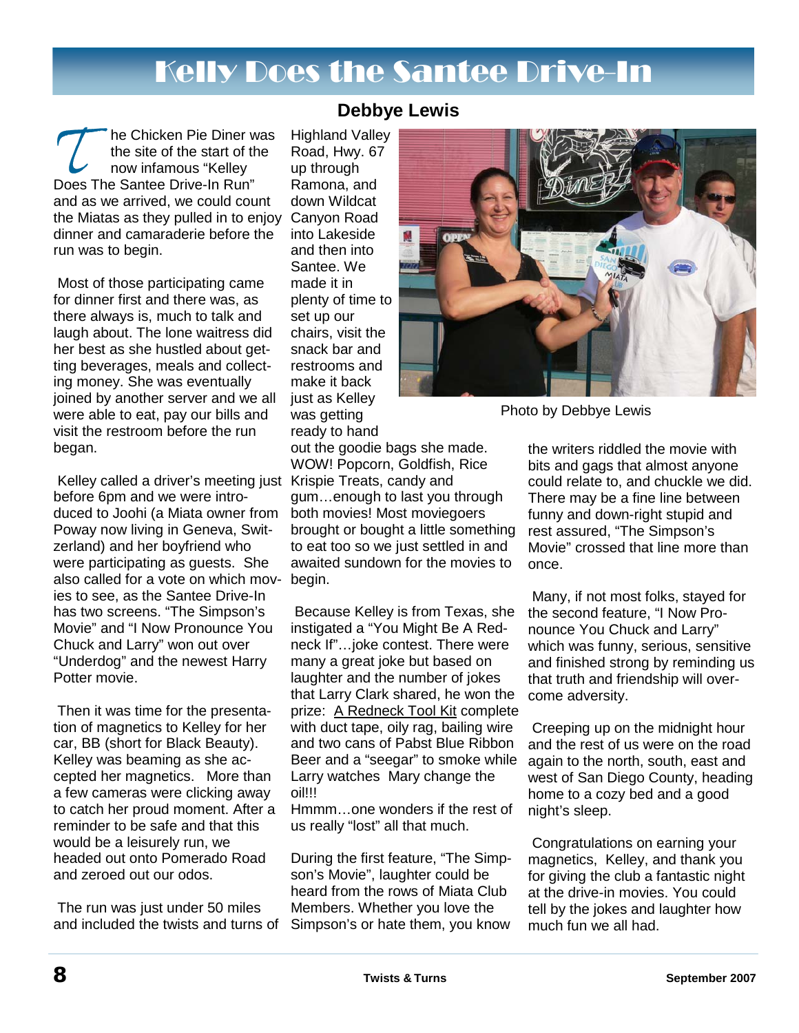# Kelly Does the Santee Drive-In

The Chicken Pie Diner was<br>the site of the start of the<br>Does The Santee Drive-In Run" the site of the start of the now infamous "Kelley and as we arrived, we could count the Miatas as they pulled in to enjoy dinner and camaraderie before the run was to begin.

 Most of those participating came for dinner first and there was, as there always is, much to talk and laugh about. The lone waitress did her best as she hustled about getting beverages, meals and collecting money. She was eventually joined by another server and we all were able to eat, pay our bills and visit the restroom before the run began.

 Kelley called a driver's meeting just Krispie Treats, candy and before 6pm and we were introduced to Joohi (a Miata owner from Poway now living in Geneva, Switzerland) and her boyfriend who were participating as guests. She also called for a vote on which movies to see, as the Santee Drive-In has two screens. "The Simpson's Movie" and "I Now Pronounce You Chuck and Larry" won out over "Underdog" and the newest Harry Potter movie.

 Then it was time for the presentation of magnetics to Kelley for her car, BB (short for Black Beauty). Kelley was beaming as she accepted her magnetics. More than a few cameras were clicking away to catch her proud moment. After a reminder to be safe and that this would be a leisurely run, we headed out onto Pomerado Road and zeroed out our odos.

 The run was just under 50 miles and included the twists and turns of

### **Debbye Lewis**

Highland Valley Road, Hwy. 67 up through Ramona, and down Wildcat Canyon Road into Lakeside and then into Santee. We made it in plenty of time to set up our chairs, visit the snack bar and restrooms and make it back just as Kelley was getting ready to hand

out the goodie bags she made. WOW! Popcorn, Goldfish, Rice gum…enough to last you through both movies! Most moviegoers brought or bought a little something to eat too so we just settled in and awaited sundown for the movies to begin.

 Because Kelley is from Texas, she instigated a "You Might Be A Redneck If"…joke contest. There were many a great joke but based on laughter and the number of jokes that Larry Clark shared, he won the prize: A Redneck Tool Kit complete with duct tape, oily rag, bailing wire and two cans of Pabst Blue Ribbon Beer and a "seegar" to smoke while Larry watches Mary change the oil!!!

Hmmm…one wonders if the rest of us really "lost" all that much.

Photo by Jack Hinkle During the first feature, "The Simpson's Movie", laughter could be heard from the rows of Miata Club Members. Whether you love the Simpson's or hate them, you know



Photo by Debbye Lewis

the writers riddled the movie with bits and gags that almost anyone could relate to, and chuckle we did. There may be a fine line between funny and down-right stupid and rest assured, "The Simpson's Movie" crossed that line more than once.

 Many, if not most folks, stayed for the second feature, "I Now Pronounce You Chuck and Larry" which was funny, serious, sensitive and finished strong by reminding us that truth and friendship will overcome adversity.

 Creeping up on the midnight hour and the rest of us were on the road again to the north, south, east and west of San Diego County, heading home to a cozy bed and a good night's sleep.

 Congratulations on earning your magnetics, Kelley, and thank you for giving the club a fantastic night at the drive-in movies. You could tell by the jokes and laughter how much fun we all had.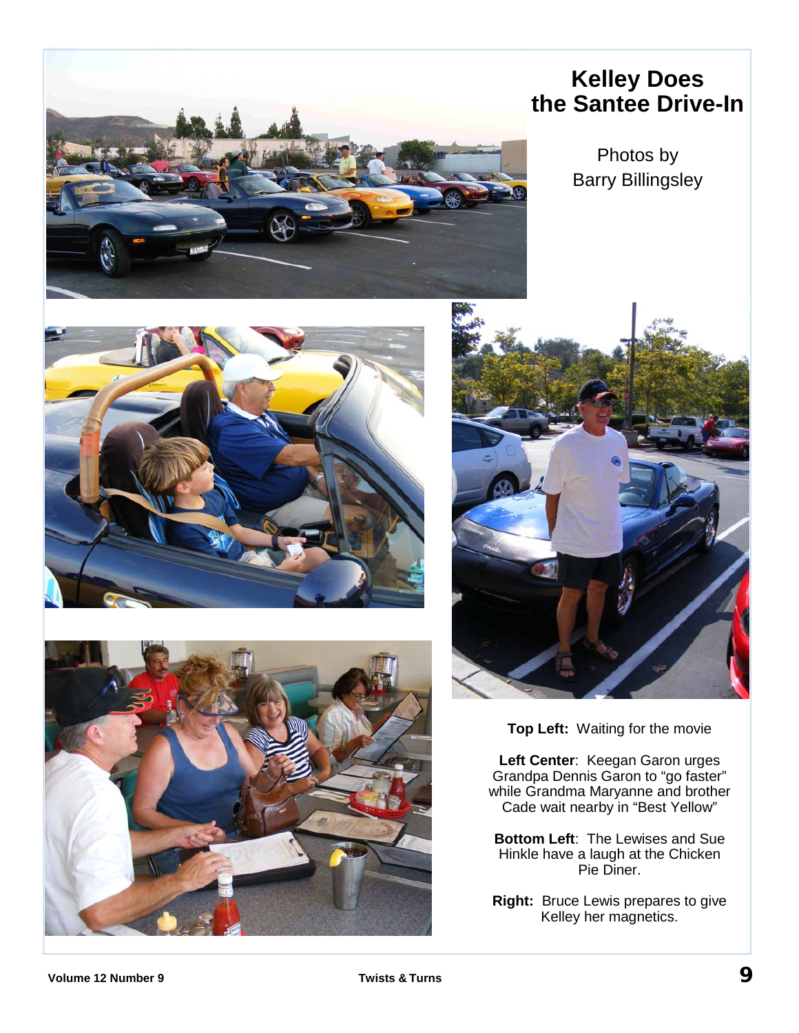

# **Kelley Does the Santee Drive-In**

Photos by Barry Billingsley







**Top Left:** Waiting for the movie

**Left Center**: Keegan Garon urges Grandpa Dennis Garon to "go faster" while Grandma Maryanne and brother Cade wait nearby in "Best Yellow"

**Bottom Left**: The Lewises and Sue Hinkle have a laugh at the Chicken Pie Diner.

**Right:** Bruce Lewis prepares to give Kelley her magnetics.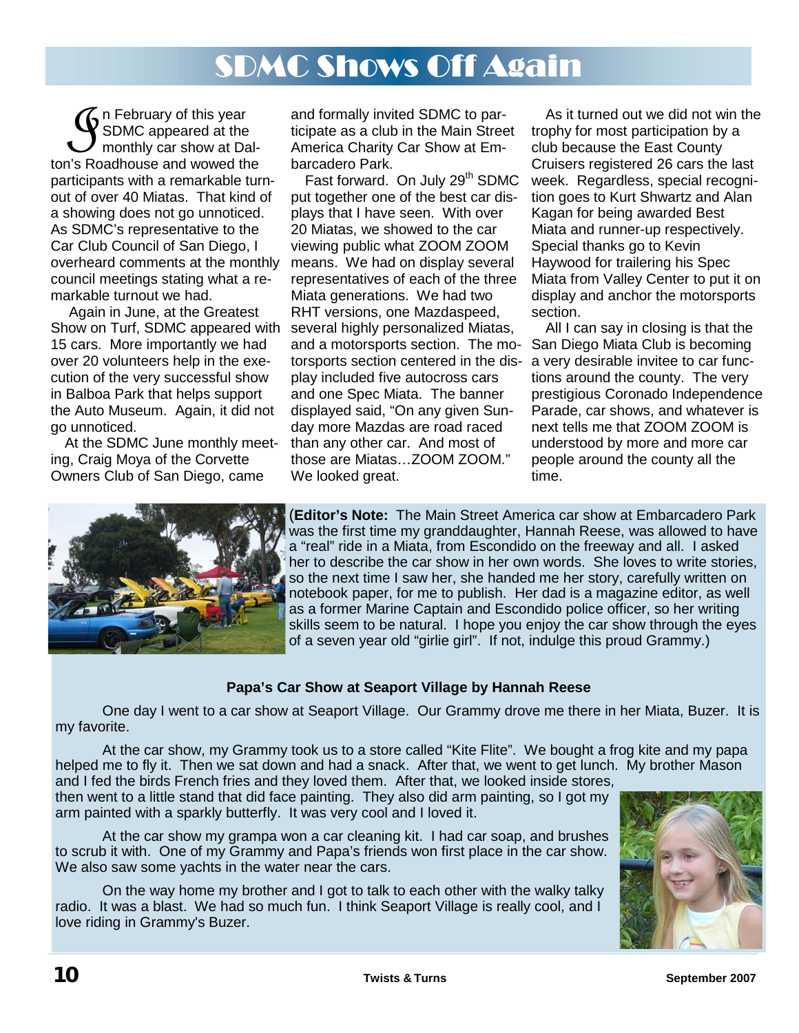# SDMC Shows Off Again

 $\delta$  n February of this year SDMC appeared at the monthly car show at Dalton's Roadhouse and wowed the participants with a remarkable turnout of over 40 Miatas. That kind of a showing does not go unnoticed. As SDMC's representative to the Car Club Council of San Diego, I overheard comments at the monthly council meetings stating what a remarkable turnout we had.

 Again in June, at the Greatest Show on Turf, SDMC appeared with 15 cars. More importantly we had over 20 volunteers help in the execution of the very successful show in Balboa Park that helps support the Auto Museum. Again, it did not go unnoticed.

At the SDMC June monthly meeting, Craig Moya of the Corvette Owners Club of San Diego, came



and formally invited SDMC to participate as a club in the Main Street America Charity Car Show at Embarcadero Park.

Fast forward. On July 29<sup>th</sup> SDMC put together one of the best car displays that I have seen. With over 20 Miatas, we showed to the car viewing public what ZOOM ZOOM means. We had on display several representatives of each of the three Miata generations. We had two RHT versions, one Mazdaspeed, several highly personalized Miatas, and a motorsports section. The motorsports section centered in the display included five autocross cars and one Spec Miata. The banner displayed said, "On any given Sunday more Mazdas are road raced than any other car. And most of those are Miatas…ZOOM ZOOM." We looked great.

As it turned out we did not win the trophy for most participation by a club because the East County Cruisers registered 26 cars the last week. Regardless, special recognition goes to Kurt Shwartz and Alan Kagan for being awarded Best Miata and runner-up respectively. Special thanks go to Kevin Haywood for trailering his Spec Miata from Valley Center to put it on display and anchor the motorsports section.

All I can say in closing is that the San Diego Miata Club is becoming a very desirable invitee to car functions around the county. The very prestigious Coronado Independence Parade, car shows, and whatever is next tells me that ZOOM ZOOM is understood by more and more car people around the county all the time.

(**Editor's Note:** The Main Street America car show at Embarcadero Park was the first time my granddaughter, Hannah Reese, was allowed to have a "real" ride in a Miata, from Escondido on the freeway and all. I asked her to describe the car show in her own words. She loves to write stories, so the next time I saw her, she handed me her story, carefully written on notebook paper, for me to publish. Her dad is a magazine editor, as well as a former Marine Captain and Escondido police officer, so her writing skills seem to be natural. I hope you enjoy the car show through the eyes of a seven year old "girlie girl". If not, indulge this proud Grammy.)

#### **Papa's Car Show at Seaport Village by Hannah Reese**

 One day I went to a car show at Seaport Village. Our Grammy drove me there in her Miata, Buzer. It is my favorite.

 At the car show, my Grammy took us to a store called "Kite Flite". We bought a frog kite and my papa helped me to fly it. Then we sat down and had a snack. After that, we went to get lunch. My brother Mason and I fed the birds French fries and they loved them. After that, we looked inside stores,

then went to a little stand that did face painting. They also did arm painting, so I got my arm painted with a sparkly butterfly. It was very cool and I loved it.

 At the car show my grampa won a car cleaning kit. I had car soap, and brushes to scrub it with. One of my Grammy and Papa's friends won first place in the car show. We also saw some yachts in the water near the cars.

 On the way home my brother and I got to talk to each other with the walky talky radio. It was a blast. We had so much fun. I think Seaport Village is really cool, and I love riding in Grammy's Buzer.

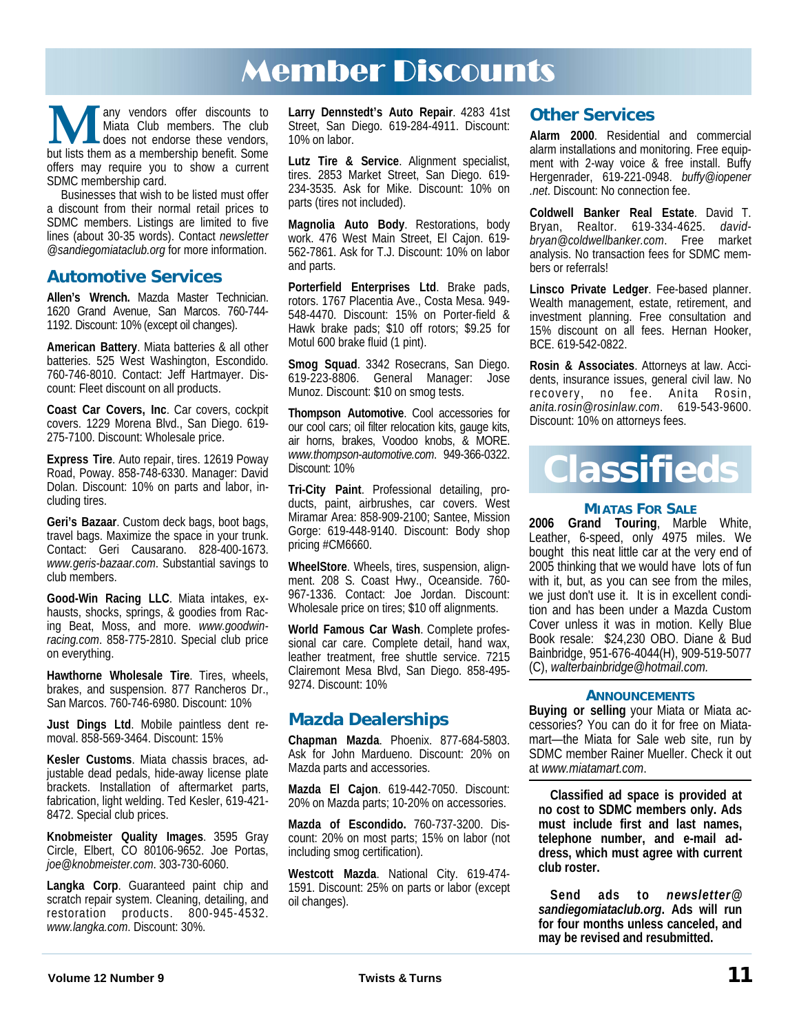# Member Discounts

**M** any vendors offer discounts to Milata Club members. The club does not endorse these vendors, but lists them as a membership benefit. Some Miata Club members. The club does not endorse these vendors, offers may require you to show a current SDMC membership card.

Businesses that wish to be listed must offer a discount from their normal retail prices to SDMC members. Listings are limited to five lines (about 30-35 words). Contact *newsletter @sandiegomiataclub.org* for more information.

#### **Automotive Services**

**Allen's Wrench.** Mazda Master Technician. 1620 Grand Avenue, San Marcos. 760-744- 1192. Discount: 10% (except oil changes).

**American Battery**. Miata batteries & all other batteries. 525 West Washington, Escondido. 760-746-8010. Contact: Jeff Hartmayer. Discount: Fleet discount on all products.

**Coast Car Covers, Inc**. Car covers, cockpit covers. 1229 Morena Blvd., San Diego. 619- 275-7100. Discount: Wholesale price.

**Express Tire**. Auto repair, tires. 12619 Poway Road, Poway. 858-748-6330. Manager: David Dolan. Discount: 10% on parts and labor, including tires.

**Geri's Bazaar**. Custom deck bags, boot bags, travel bags. Maximize the space in your trunk. Contact: Geri Causarano. 828-400-1673. *www.geris-bazaar.com*. Substantial savings to club members.

**Good-Win Racing LLC**. Miata intakes, exhausts, shocks, springs, & goodies from Racing Beat, Moss, and more. *www.goodwinracing.com*. 858-775-2810. Special club price on everything.

**Hawthorne Wholesale Tire**. Tires, wheels, brakes, and suspension. 877 Rancheros Dr., San Marcos. 760-746-6980. Discount: 10%

**Just Dings Ltd**. Mobile paintless dent removal. 858-569-3464. Discount: 15%

**Kesler Customs**. Miata chassis braces, adjustable dead pedals, hide-away license plate brackets. Installation of aftermarket parts, fabrication, light welding. Ted Kesler, 619-421- 8472. Special club prices.

**Knobmeister Quality Images**. 3595 Gray Circle, Elbert, CO 80106-9652. Joe Portas, *joe@knobmeister.com*. 303-730-6060.

**Langka Corp**. Guaranteed paint chip and scratch repair system. Cleaning, detailing, and restoration products. 800-945-4532. *www.langka.com*. Discount: 30%.

**Larry Dennstedt's Auto Repair**. 4283 41st Street, San Diego. 619-284-4911. Discount: 10% on labor.

**Lutz Tire & Service**. Alignment specialist, tires. 2853 Market Street, San Diego. 619- 234-3535. Ask for Mike. Discount: 10% on parts (tires not included).

**Magnolia Auto Body**. Restorations, body work. 476 West Main Street, El Cajon. 619- 562-7861. Ask for T.J. Discount: 10% on labor and parts.

**Porterfield Enterprises Ltd**. Brake pads, rotors. 1767 Placentia Ave., Costa Mesa. 949- 548-4470. Discount: 15% on Porter-field & Hawk brake pads; \$10 off rotors; \$9.25 for Motul 600 brake fluid (1 pint).

**Smog Squad**. 3342 Rosecrans, San Diego. 619-223-8806. General Manager: Jose Munoz. Discount: \$10 on smog tests.

**Thompson Automotive**. Cool accessories for our cool cars; oil filter relocation kits, gauge kits, air horns, brakes, Voodoo knobs, & MORE. *www.thompson-automotive.com*. 949-366-0322. Discount: 10%

**Tri-City Paint**. Professional detailing, products, paint, airbrushes, car covers. West Miramar Area: 858-909-2100; Santee, Mission Gorge: 619-448-9140. Discount: Body shop pricing #CM6660.

**WheelStore**. Wheels, tires, suspension, alignment. 208 S. Coast Hwy., Oceanside. 760- 967-1336. Contact: Joe Jordan. Discount: Wholesale price on tires; \$10 off alignments.

**World Famous Car Wash**. Complete professional car care. Complete detail, hand wax, leather treatment, free shuttle service. 7215 Clairemont Mesa Blvd, San Diego. 858-495- 9274. Discount: 10%

### **Mazda Dealerships**

**Chapman Mazda**. Phoenix. 877-684-5803. Ask for John Mardueno. Discount: 20% on Mazda parts and accessories.

**Mazda El Cajon**. 619-442-7050. Discount: 20% on Mazda parts; 10-20% on accessories.

**Mazda of Escondido.** 760-737-3200. Discount: 20% on most parts; 15% on labor (not including smog certification).

**Westcott Mazda**. National City. 619-474- 1591. Discount: 25% on parts or labor (except oil changes).

#### **Other Services**

**Alarm 2000**. Residential and commercial alarm installations and monitoring. Free equipment with 2-way voice & free install. Buffy Hergenrader, 619-221-0948. *buffy@iopener .net*. Discount: No connection fee.

**Coldwell Banker Real Estate**. David T. Bryan, Realtor. 619-334-4625. *davidbryan@coldwellbanker.com*. Free market analysis. No transaction fees for SDMC members or referrals!

**Linsco Private Ledger**. Fee-based planner. Wealth management, estate, retirement, and investment planning. Free consultation and 15% discount on all fees. Hernan Hooker, BCE. 619-542-0822.

**Rosin & Associates**. Attorneys at law. Accidents, insurance issues, general civil law. No recovery, no fee. Anita Rosin, *anita.rosin@rosinlaw.com*. 619-543-9600. Discount: 10% on attorneys fees.



#### **MIATAS FOR SALE**

**2006 Grand Touring**, Marble White, Leather, 6-speed, only 4975 miles. We bought this neat little car at the very end of 2005 thinking that we would have lots of fun with it, but, as you can see from the miles, we just don't use it. It is in excellent condition and has been under a Mazda Custom Cover unless it was in motion. Kelly Blue Book resale: \$24,230 OBO. Diane & Bud Bainbridge, 951-676-4044(H), 909-519-5077 (C), *walterbainbridge@hotmail.com.*

#### **ANNOUNCEMENTS**

**Buying or selling** your Miata or Miata accessories? You can do it for free on Miatamart—the Miata for Sale web site, run by SDMC member Rainer Mueller. Check it out at *www.miatamart.com*.

**Classified ad space is provided at no cost to SDMC members only. Ads must include first and last names, telephone number, and e-mail address, which must agree with current club roster.** 

**Send ads to** *newsletter@ sandiegomiataclub.org***. Ads will run for four months unless canceled, and may be revised and resubmitted.**